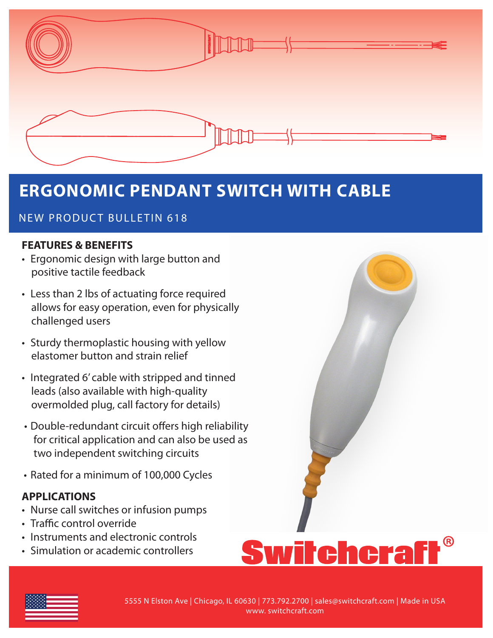

# **ERGONOMIC PENDANT SWITCH WITH CABLE**

# NEW PRODUCT BULLETIN 618

### **FEATURES & BENEFITS**

- Ergonomic design with large button and positive tactile feedback
- Less than 2 lbs of actuating force required allows for easy operation, even for physically challenged users
- Sturdy thermoplastic housing with yellow elastomer button and strain relief
- Integrated 6' cable with stripped and tinned leads (also available with high-quality overmolded plug, call factory for details)
- Double-redundant circuit offers high reliability for critical application and can also be used as two independent switching circuits
- Rated for a minimum of 100,000 Cycles

## **APPLICATIONS**

- Nurse call switches or infusion pumps
- Traffic control override
- Instruments and electronic controls
- Simulation or academic controllers